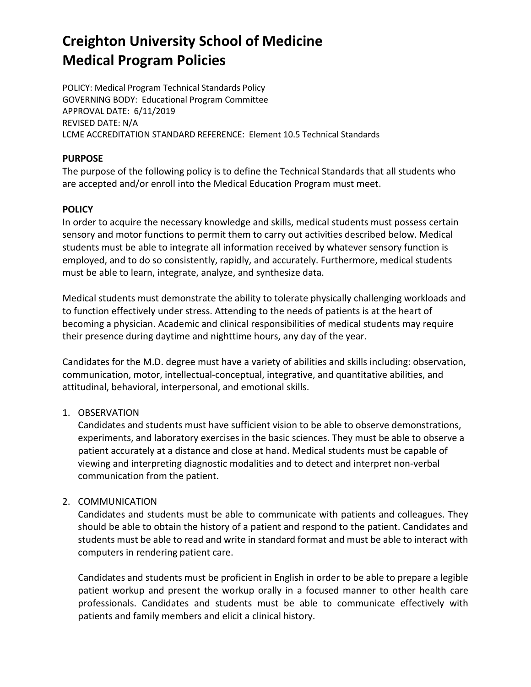POLICY: Medical Program Technical Standards Policy GOVERNING BODY: Educational Program Committee APPROVAL DATE: 6/11/2019 REVISED DATE: N/A LCME ACCREDITATION STANDARD REFERENCE: Element 10.5 Technical Standards

## **PURPOSE**

The purpose of the following policy is to define the Technical Standards that all students who are accepted and/or enroll into the Medical Education Program must meet.

## **POLICY**

In order to acquire the necessary knowledge and skills, medical students must possess certain sensory and motor functions to permit them to carry out activities described below. Medical students must be able to integrate all information received by whatever sensory function is employed, and to do so consistently, rapidly, and accurately. Furthermore, medical students must be able to learn, integrate, analyze, and synthesize data.

Medical students must demonstrate the ability to tolerate physically challenging workloads and to function effectively under stress. Attending to the needs of patients is at the heart of becoming a physician. Academic and clinical responsibilities of medical students may require their presence during daytime and nighttime hours, any day of the year.

Candidates for the M.D. degree must have a variety of abilities and skills including: observation, communication, motor, intellectual-conceptual, integrative, and quantitative abilities, and attitudinal, behavioral, interpersonal, and emotional skills.

## 1. OBSERVATION

Candidates and students must have sufficient vision to be able to observe demonstrations, experiments, and laboratory exercises in the basic sciences. They must be able to observe a patient accurately at a distance and close at hand. Medical students must be capable of viewing and interpreting diagnostic modalities and to detect and interpret non-verbal communication from the patient.

## 2. COMMUNICATION

Candidates and students must be able to communicate with patients and colleagues. They should be able to obtain the history of a patient and respond to the patient. Candidates and students must be able to read and write in standard format and must be able to interact with computers in rendering patient care.

Candidates and students must be proficient in English in order to be able to prepare a legible patient workup and present the workup orally in a focused manner to other health care professionals. Candidates and students must be able to communicate effectively with patients and family members and elicit a clinical history.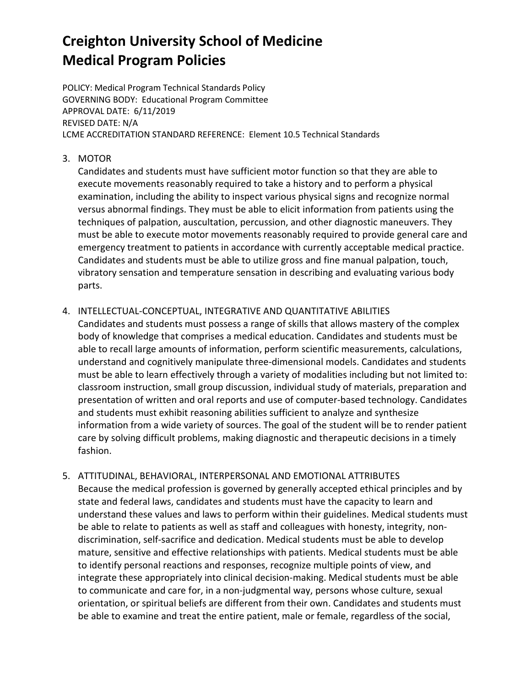POLICY: Medical Program Technical Standards Policy GOVERNING BODY: Educational Program Committee APPROVAL DATE: 6/11/2019 REVISED DATE: N/A LCME ACCREDITATION STANDARD REFERENCE: Element 10.5 Technical Standards

## 3. MOTOR

Candidates and students must have sufficient motor function so that they are able to execute movements reasonably required to take a history and to perform a physical examination, including the ability to inspect various physical signs and recognize normal versus abnormal findings. They must be able to elicit information from patients using the techniques of palpation, auscultation, percussion, and other diagnostic maneuvers. They must be able to execute motor movements reasonably required to provide general care and emergency treatment to patients in accordance with currently acceptable medical practice. Candidates and students must be able to utilize gross and fine manual palpation, touch, vibratory sensation and temperature sensation in describing and evaluating various body parts.

## 4. INTELLECTUAL-CONCEPTUAL, INTEGRATIVE AND QUANTITATIVE ABILITIES

Candidates and students must possess a range of skills that allows mastery of the complex body of knowledge that comprises a medical education. Candidates and students must be able to recall large amounts of information, perform scientific measurements, calculations, understand and cognitively manipulate three-dimensional models. Candidates and students must be able to learn effectively through a variety of modalities including but not limited to: classroom instruction, small group discussion, individual study of materials, preparation and presentation of written and oral reports and use of computer-based technology. Candidates and students must exhibit reasoning abilities sufficient to analyze and synthesize information from a wide variety of sources. The goal of the student will be to render patient care by solving difficult problems, making diagnostic and therapeutic decisions in a timely fashion.

## 5. ATTITUDINAL, BEHAVIORAL, INTERPERSONAL AND EMOTIONAL ATTRIBUTES Because the medical profession is governed by generally accepted ethical principles and by state and federal laws, candidates and students must have the capacity to learn and understand these values and laws to perform within their guidelines. Medical students must be able to relate to patients as well as staff and colleagues with honesty, integrity, nondiscrimination, self-sacrifice and dedication. Medical students must be able to develop mature, sensitive and effective relationships with patients. Medical students must be able to identify personal reactions and responses, recognize multiple points of view, and integrate these appropriately into clinical decision-making. Medical students must be able to communicate and care for, in a non-judgmental way, persons whose culture, sexual orientation, or spiritual beliefs are different from their own. Candidates and students must be able to examine and treat the entire patient, male or female, regardless of the social,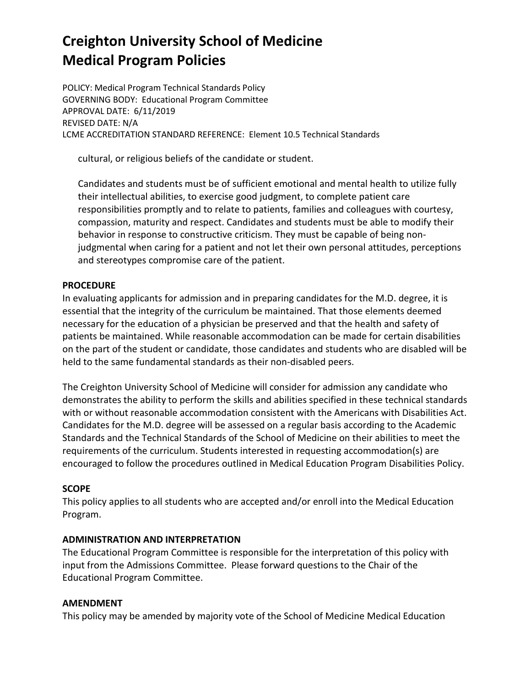POLICY: Medical Program Technical Standards Policy GOVERNING BODY: Educational Program Committee APPROVAL DATE: 6/11/2019 REVISED DATE: N/A LCME ACCREDITATION STANDARD REFERENCE: Element 10.5 Technical Standards

cultural, or religious beliefs of the candidate or student.

Candidates and students must be of sufficient emotional and mental health to utilize fully their intellectual abilities, to exercise good judgment, to complete patient care responsibilities promptly and to relate to patients, families and colleagues with courtesy, compassion, maturity and respect. Candidates and students must be able to modify their behavior in response to constructive criticism. They must be capable of being nonjudgmental when caring for a patient and not let their own personal attitudes, perceptions and stereotypes compromise care of the patient.

### **PROCEDURE**

In evaluating applicants for admission and in preparing candidates for the M.D. degree, it is essential that the integrity of the curriculum be maintained. That those elements deemed necessary for the education of a physician be preserved and that the health and safety of patients be maintained. While reasonable accommodation can be made for certain disabilities on the part of the student or candidate, those candidates and students who are disabled will be held to the same fundamental standards as their non-disabled peers.

The Creighton University School of Medicine will consider for admission any candidate who demonstrates the ability to perform the skills and abilities specified in these technical standards with or without reasonable accommodation consistent with the Americans with Disabilities Act. Candidates for the M.D. degree will be assessed on a regular basis according to the Academic Standards and the Technical Standards of the School of Medicine on their abilities to meet the requirements of the curriculum. Students interested in requesting accommodation(s) are encouraged to follow the procedures outlined in Medical Education Program Disabilities Policy.

## **SCOPE**

This policy applies to all students who are accepted and/or enroll into the Medical Education Program.

### **ADMINISTRATION AND INTERPRETATION**

The Educational Program Committee is responsible for the interpretation of this policy with input from the Admissions Committee. Please forward questions to the Chair of the Educational Program Committee.

### **AMENDMENT**

This policy may be amended by majority vote of the School of Medicine Medical Education